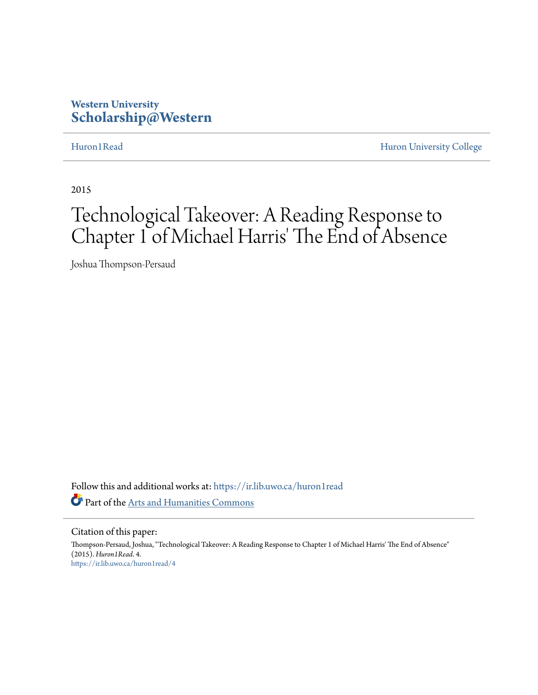## **Western University [Scholarship@Western](https://ir.lib.uwo.ca?utm_source=ir.lib.uwo.ca%2Fhuron1read%2F4&utm_medium=PDF&utm_campaign=PDFCoverPages)**

[Huron1Read](https://ir.lib.uwo.ca/huron1read?utm_source=ir.lib.uwo.ca%2Fhuron1read%2F4&utm_medium=PDF&utm_campaign=PDFCoverPages) [Huron University College](https://ir.lib.uwo.ca/huron?utm_source=ir.lib.uwo.ca%2Fhuron1read%2F4&utm_medium=PDF&utm_campaign=PDFCoverPages)

2015

# Technological Takeover: A Reading Response to Chapter 1 of Michael Harris' The End of Absence

Joshua Thompson-Persaud

Follow this and additional works at: [https://ir.lib.uwo.ca/huron1read](https://ir.lib.uwo.ca/huron1read?utm_source=ir.lib.uwo.ca%2Fhuron1read%2F4&utm_medium=PDF&utm_campaign=PDFCoverPages) Part of the [Arts and Humanities Commons](http://network.bepress.com/hgg/discipline/438?utm_source=ir.lib.uwo.ca%2Fhuron1read%2F4&utm_medium=PDF&utm_campaign=PDFCoverPages)

Citation of this paper:

Thompson-Persaud, Joshua, "Technological Takeover: A Reading Response to Chapter 1 of Michael Harris' The End of Absence" (2015). *Huron1Read*. 4. [https://ir.lib.uwo.ca/huron1read/4](https://ir.lib.uwo.ca/huron1read/4?utm_source=ir.lib.uwo.ca%2Fhuron1read%2F4&utm_medium=PDF&utm_campaign=PDFCoverPages)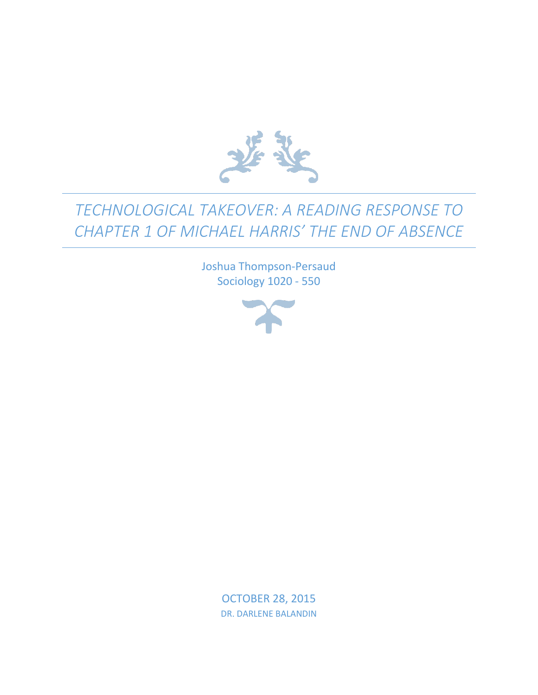

## *TECHNOLOGICAL TAKEOVER: A READING RESPONSE TO CHAPTER 1 OF MICHAEL HARRIS' THE END OF ABSENCE*

Joshua Thompson-Persaud Sociology 1020 - 550



OCTOBER 28, 2015 DR. DARLENE BALANDIN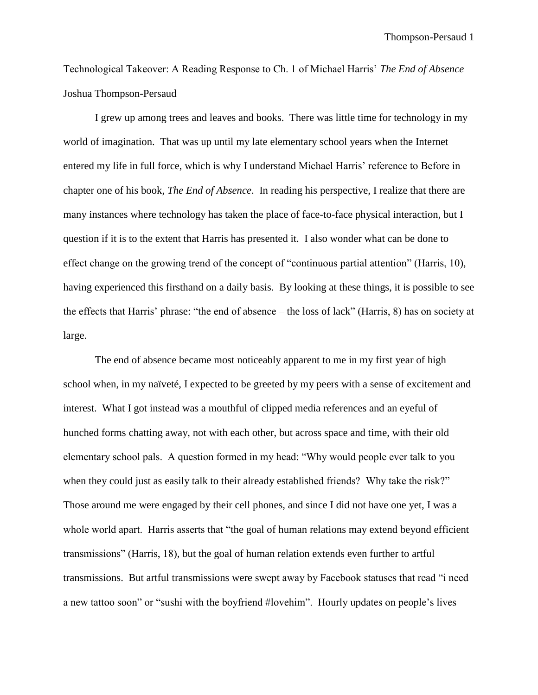Technological Takeover: A Reading Response to Ch. 1 of Michael Harris' *The End of Absence* Joshua Thompson-Persaud

I grew up among trees and leaves and books. There was little time for technology in my world of imagination. That was up until my late elementary school years when the Internet entered my life in full force, which is why I understand Michael Harris' reference to Before in chapter one of his book, *The End of Absence*. In reading his perspective, I realize that there are many instances where technology has taken the place of face-to-face physical interaction, but I question if it is to the extent that Harris has presented it. I also wonder what can be done to effect change on the growing trend of the concept of "continuous partial attention" (Harris, 10), having experienced this firsthand on a daily basis. By looking at these things, it is possible to see the effects that Harris' phrase: "the end of absence – the loss of lack" (Harris, 8) has on society at large.

The end of absence became most noticeably apparent to me in my first year of high school when, in my naïveté, I expected to be greeted by my peers with a sense of excitement and interest. What I got instead was a mouthful of clipped media references and an eyeful of hunched forms chatting away, not with each other, but across space and time, with their old elementary school pals. A question formed in my head: "Why would people ever talk to you when they could just as easily talk to their already established friends? Why take the risk?" Those around me were engaged by their cell phones, and since I did not have one yet, I was a whole world apart. Harris asserts that "the goal of human relations may extend beyond efficient transmissions" (Harris, 18), but the goal of human relation extends even further to artful transmissions. But artful transmissions were swept away by Facebook statuses that read "i need a new tattoo soon" or "sushi with the boyfriend #lovehim". Hourly updates on people's lives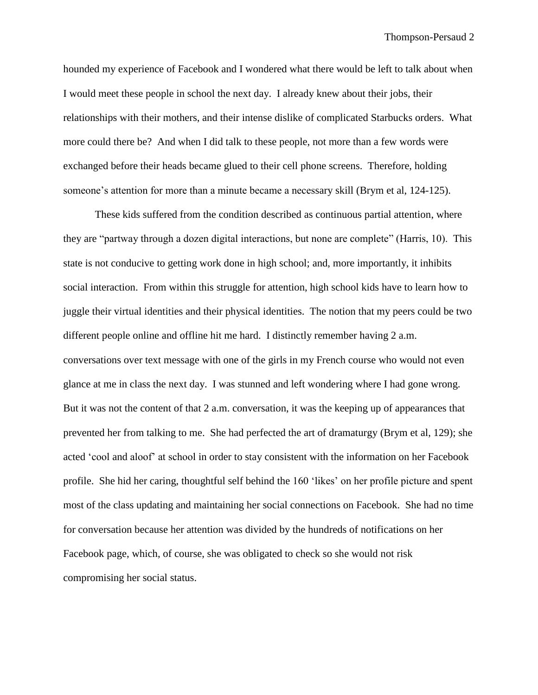hounded my experience of Facebook and I wondered what there would be left to talk about when I would meet these people in school the next day. I already knew about their jobs, their relationships with their mothers, and their intense dislike of complicated Starbucks orders. What more could there be? And when I did talk to these people, not more than a few words were exchanged before their heads became glued to their cell phone screens. Therefore, holding someone's attention for more than a minute became a necessary skill (Brym et al, 124-125).

These kids suffered from the condition described as continuous partial attention, where they are "partway through a dozen digital interactions, but none are complete" (Harris, 10). This state is not conducive to getting work done in high school; and, more importantly, it inhibits social interaction. From within this struggle for attention, high school kids have to learn how to juggle their virtual identities and their physical identities. The notion that my peers could be two different people online and offline hit me hard. I distinctly remember having 2 a.m. conversations over text message with one of the girls in my French course who would not even glance at me in class the next day. I was stunned and left wondering where I had gone wrong. But it was not the content of that 2 a.m. conversation, it was the keeping up of appearances that prevented her from talking to me. She had perfected the art of dramaturgy (Brym et al, 129); she acted 'cool and aloof' at school in order to stay consistent with the information on her Facebook profile. She hid her caring, thoughtful self behind the 160 'likes' on her profile picture and spent most of the class updating and maintaining her social connections on Facebook. She had no time for conversation because her attention was divided by the hundreds of notifications on her Facebook page, which, of course, she was obligated to check so she would not risk compromising her social status.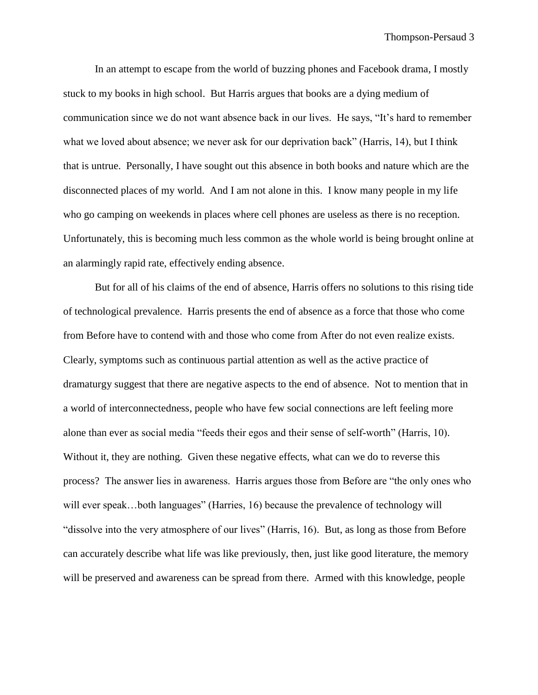In an attempt to escape from the world of buzzing phones and Facebook drama, I mostly stuck to my books in high school. But Harris argues that books are a dying medium of communication since we do not want absence back in our lives. He says, "It's hard to remember what we loved about absence; we never ask for our deprivation back" (Harris, 14), but I think that is untrue. Personally, I have sought out this absence in both books and nature which are the disconnected places of my world. And I am not alone in this. I know many people in my life who go camping on weekends in places where cell phones are useless as there is no reception. Unfortunately, this is becoming much less common as the whole world is being brought online at an alarmingly rapid rate, effectively ending absence.

But for all of his claims of the end of absence, Harris offers no solutions to this rising tide of technological prevalence. Harris presents the end of absence as a force that those who come from Before have to contend with and those who come from After do not even realize exists. Clearly, symptoms such as continuous partial attention as well as the active practice of dramaturgy suggest that there are negative aspects to the end of absence. Not to mention that in a world of interconnectedness, people who have few social connections are left feeling more alone than ever as social media "feeds their egos and their sense of self-worth" (Harris, 10). Without it, they are nothing. Given these negative effects, what can we do to reverse this process? The answer lies in awareness. Harris argues those from Before are "the only ones who will ever speak...both languages" (Harries, 16) because the prevalence of technology will "dissolve into the very atmosphere of our lives" (Harris, 16). But, as long as those from Before can accurately describe what life was like previously, then, just like good literature, the memory will be preserved and awareness can be spread from there. Armed with this knowledge, people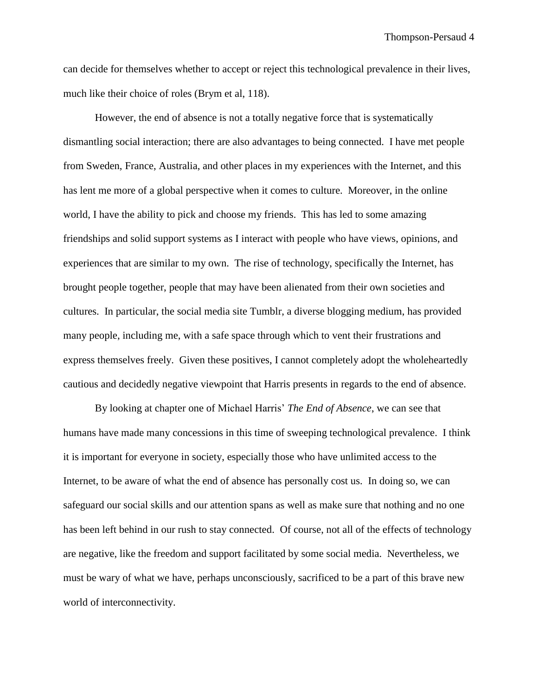can decide for themselves whether to accept or reject this technological prevalence in their lives, much like their choice of roles (Brym et al, 118).

However, the end of absence is not a totally negative force that is systematically dismantling social interaction; there are also advantages to being connected. I have met people from Sweden, France, Australia, and other places in my experiences with the Internet, and this has lent me more of a global perspective when it comes to culture. Moreover, in the online world, I have the ability to pick and choose my friends. This has led to some amazing friendships and solid support systems as I interact with people who have views, opinions, and experiences that are similar to my own. The rise of technology, specifically the Internet, has brought people together, people that may have been alienated from their own societies and cultures. In particular, the social media site Tumblr, a diverse blogging medium, has provided many people, including me, with a safe space through which to vent their frustrations and express themselves freely. Given these positives, I cannot completely adopt the wholeheartedly cautious and decidedly negative viewpoint that Harris presents in regards to the end of absence.

By looking at chapter one of Michael Harris' *The End of Absence*, we can see that humans have made many concessions in this time of sweeping technological prevalence. I think it is important for everyone in society, especially those who have unlimited access to the Internet, to be aware of what the end of absence has personally cost us. In doing so, we can safeguard our social skills and our attention spans as well as make sure that nothing and no one has been left behind in our rush to stay connected. Of course, not all of the effects of technology are negative, like the freedom and support facilitated by some social media. Nevertheless, we must be wary of what we have, perhaps unconsciously, sacrificed to be a part of this brave new world of interconnectivity.